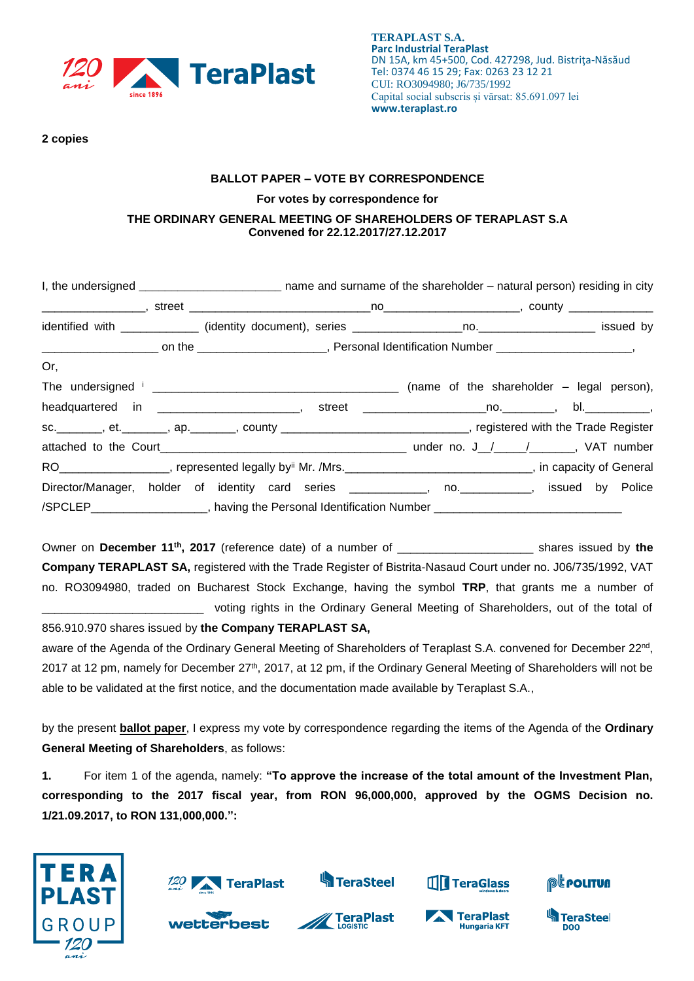

**2 copies** 

## **BALLOT PAPER – VOTE BY CORRESPONDENCE For votes by correspondence for THE ORDINARY GENERAL MEETING OF SHAREHOLDERS OF TERAPLAST S.A Convened for 22.12.2017/27.12.2017**

| Or,                                                                                                                         |  |  |  |  |
|-----------------------------------------------------------------------------------------------------------------------------|--|--|--|--|
|                                                                                                                             |  |  |  |  |
| headquartered in _________________________, street _____________________________, bl._____________,                         |  |  |  |  |
| sc. ________, et. _______, ap. _______, county ______________________________, registered with the Trade Register           |  |  |  |  |
|                                                                                                                             |  |  |  |  |
| RO__________________, represented legally by <sup>ii</sup> Mr. /Mrs._______________________________, in capacity of General |  |  |  |  |
| Director/Manager, holder of identity card series ____________, no. __________, issued by Police                             |  |  |  |  |
| /SPCLEP____________________, having the Personal Identification Number ____________________________                         |  |  |  |  |

Owner on **December 11th , 2017** (reference date) of a number of \_\_\_\_\_\_\_\_\_\_\_\_\_\_\_\_\_\_\_\_\_ shares issued by **the Company TERAPLAST SA,** registered with the Trade Register of Bistrita-Nasaud Court under no. J06/735/1992, VAT no. RO3094980, traded on Bucharest Stock Exchange, having the symbol **TRP**, that grants me a number of voting rights in the Ordinary General Meeting of Shareholders, out of the total of

856.910.970 shares issued by **the Company TERAPLAST SA,** aware of the Agenda of the Ordinary General Meeting of Shareholders of Teraplast S.A. convened for December 22<sup>nd</sup>, 2017 at 12 pm, namely for December 27<sup>th</sup>, 2017, at 12 pm, if the Ordinary General Meeting of Shareholders will not be able to be validated at the first notice, and the documentation made available by Teraplast S.A.,

by the present **ballot paper**, I express my vote by correspondence regarding the items of the Agenda of the **Ordinary General Meeting of Shareholders**, as follows:

**1.** For item 1 of the agenda, namely: **"To approve the increase of the total amount of the Investment Plan, corresponding to the 2017 fiscal year, from RON 96,000,000, approved by the OGMS Decision no. 1/21.09.2017, to RON 131,000,000.":**





wetterbest



**TeraPlast** 



TeraPlast

**Hungaria KFT** 



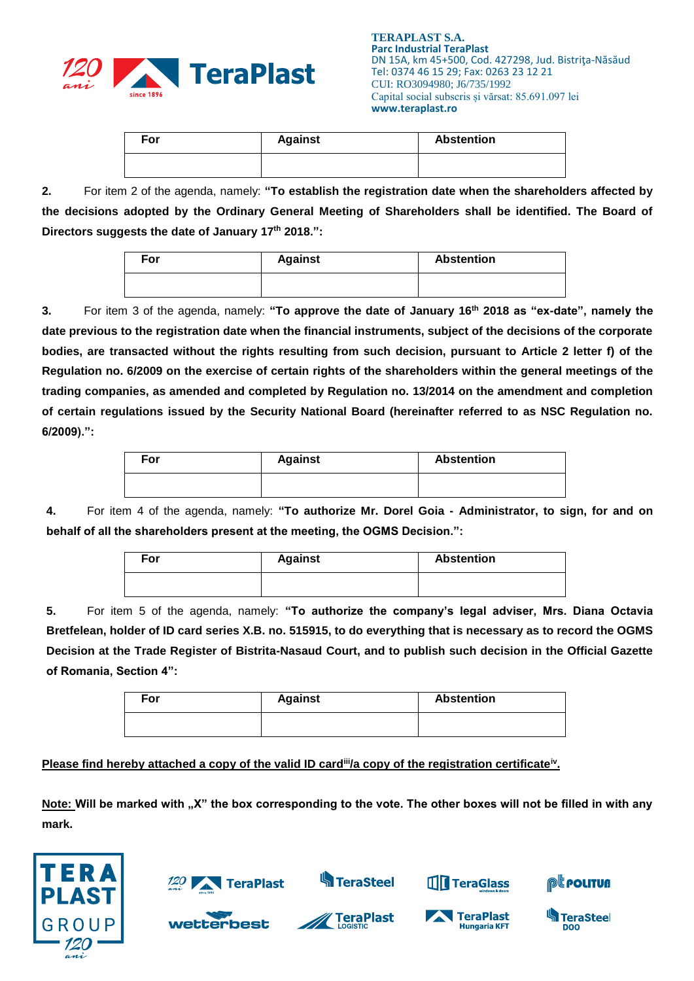

| For | <b>Against</b> | <b>Abstention</b> |
|-----|----------------|-------------------|
|     |                |                   |

**2.** For item 2 of the agenda, namely: **"To establish the registration date when the shareholders affected by the decisions adopted by the Ordinary General Meeting of Shareholders shall be identified. The Board of Directors suggests the date of January 17 th 2018.":**

| For | <b>Against</b> | <b>Abstention</b> |  |
|-----|----------------|-------------------|--|
|     |                |                   |  |

**3.** For item 3 of the agenda, namely: **"To approve the date of January 16 th 2018 as "ex-date", namely the date previous to the registration date when the financial instruments, subject of the decisions of the corporate bodies, are transacted without the rights resulting from such decision, pursuant to Article 2 letter f) of the Regulation no. 6/2009 on the exercise of certain rights of the shareholders within the general meetings of the trading companies, as amended and completed by Regulation no. 13/2014 on the amendment and completion of certain regulations issued by the Security National Board (hereinafter referred to as NSC Regulation no. 6/2009).":**

| For | <b>Against</b> | <b>Abstention</b> |  |  |
|-----|----------------|-------------------|--|--|
|     |                |                   |  |  |

**4.** For item 4 of the agenda, namely: **"To authorize Mr. Dorel Goia - Administrator, to sign, for and on behalf of all the shareholders present at the meeting, the OGMS Decision.":**

| For | <b>Against</b> | <b>Abstention</b> |
|-----|----------------|-------------------|
|     |                |                   |

**5.** For item 5 of the agenda, namely: **"To authorize the company's legal adviser, Mrs. Diana Octavia Bretfelean, holder of ID card series X.B. no. 515915, to do everything that is necessary as to record the OGMS Decision at the Trade Register of Bistrita-Nasaud Court, and to publish such decision in the Official Gazette of Romania, Section 4":**

| For | <b>Against</b> | <b>Abstention</b> |
|-----|----------------|-------------------|
|     |                |                   |

**Please find hereby attached a copy of the valid ID card<sup>ii</sup>/a copy of the registration certificate<sup>iv</sup>.** 

Note: Will be marked with "X" the box corresponding to the vote. The other boxes will not be filled in with any **mark.**